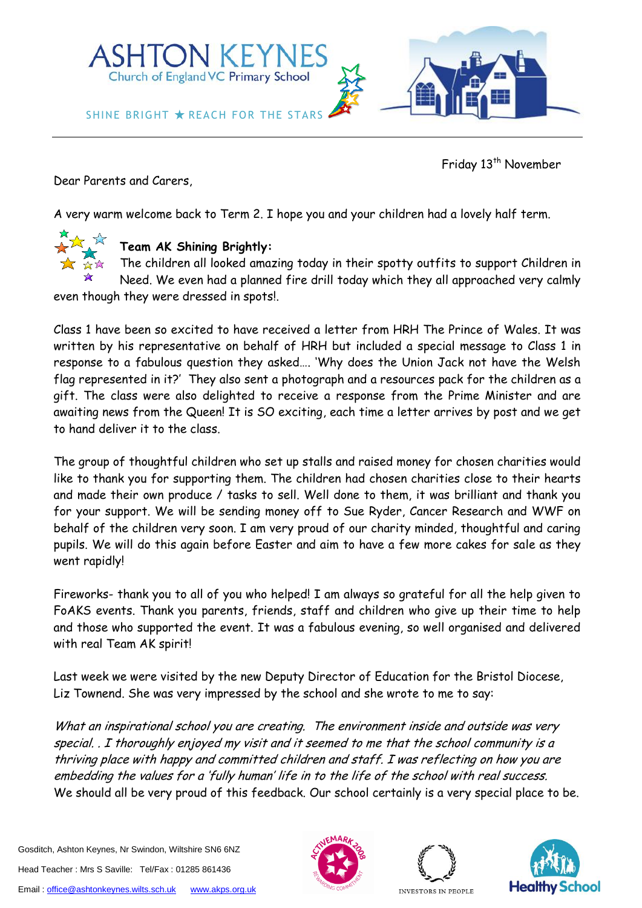

Friday 13<sup>th</sup> November

Dear Parents and Carers,

A very warm welcome back to Term 2. I hope you and your children had a lovely half term.



# **Team AK Shining Brightly:**

The children all looked amazing today in their spotty outfits to support Children in Need. We even had a planned fire drill today which they all approached very calmly

even though they were dressed in spots!.

Class 1 have been so excited to have received a letter from HRH The Prince of Wales. It was written by his representative on behalf of HRH but included a special message to Class 1 in response to a fabulous question they asked…. 'Why does the Union Jack not have the Welsh flag represented in it?' They also sent a photograph and a resources pack for the children as a gift. The class were also delighted to receive a response from the Prime Minister and are awaiting news from the Queen! It is SO exciting, each time a letter arrives by post and we get to hand deliver it to the class.

The group of thoughtful children who set up stalls and raised money for chosen charities would like to thank you for supporting them. The children had chosen charities close to their hearts and made their own produce / tasks to sell. Well done to them, it was brilliant and thank you for your support. We will be sending money off to Sue Ryder, Cancer Research and WWF on behalf of the children very soon. I am very proud of our charity minded, thoughtful and caring pupils. We will do this again before Easter and aim to have a few more cakes for sale as they went rapidly!

Fireworks- thank you to all of you who helped! I am always so grateful for all the help given to FoAKS events. Thank you parents, friends, staff and children who give up their time to help and those who supported the event. It was a fabulous evening, so well organised and delivered with real Team AK spirit!

Last week we were visited by the new Deputy Director of Education for the Bristol Diocese, Liz Townend. She was very impressed by the school and she wrote to me to say:

What an inspirational school you are creating. The environment inside and outside was very special. . I thoroughly enjoyed my visit and it seemed to me that the school community is a thriving place with happy and committed children and staff. I was reflecting on how you are embedding the values for a 'fully human' life in to the life of the school with real success. We should all be very proud of this feedback. Our school certainly is a very special place to be.





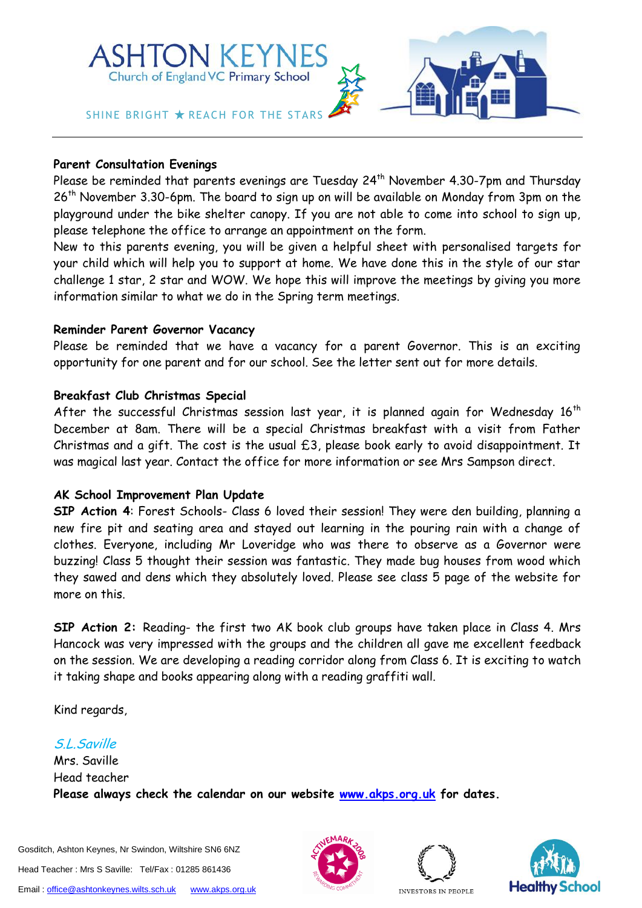

#### **Parent Consultation Evenings**

Please be reminded that parents evenings are Tuesday 24<sup>th</sup> November 4.30-7pm and Thursday 26<sup>th</sup> November 3.30-6pm. The board to sign up on will be available on Monday from 3pm on the playground under the bike shelter canopy. If you are not able to come into school to sign up, please telephone the office to arrange an appointment on the form.

New to this parents evening, you will be given a helpful sheet with personalised targets for your child which will help you to support at home. We have done this in the style of our star challenge 1 star, 2 star and WOW. We hope this will improve the meetings by giving you more information similar to what we do in the Spring term meetings.

#### **Reminder Parent Governor Vacancy**

Please be reminded that we have a vacancy for a parent Governor. This is an exciting opportunity for one parent and for our school. See the letter sent out for more details.

## **Breakfast Club Christmas Special**

After the successful Christmas session last year, it is planned again for Wednesday  $16<sup>th</sup>$ December at 8am. There will be a special Christmas breakfast with a visit from Father Christmas and a gift. The cost is the usual £3, please book early to avoid disappointment. It was magical last year. Contact the office for more information or see Mrs Sampson direct.

## **AK School Improvement Plan Update**

**SIP Action 4**: Forest Schools- Class 6 loved their session! They were den building, planning a new fire pit and seating area and stayed out learning in the pouring rain with a change of clothes. Everyone, including Mr Loveridge who was there to observe as a Governor were buzzing! Class 5 thought their session was fantastic. They made bug houses from wood which they sawed and dens which they absolutely loved. Please see class 5 page of the website for more on this.

**SIP Action 2:** Reading- the first two AK book club groups have taken place in Class 4. Mrs Hancock was very impressed with the groups and the children all gave me excellent feedback on the session. We are developing a reading corridor along from Class 6. It is exciting to watch it taking shape and books appearing along with a reading graffiti wall.

Kind regards,

## S.L.Saville

Mrs. Saville Head teacher **Please always check the calendar on our website [www.akps.org.uk](http://www.akps.org.uk/) for dates.**







INVESTORS IN PEOPLE